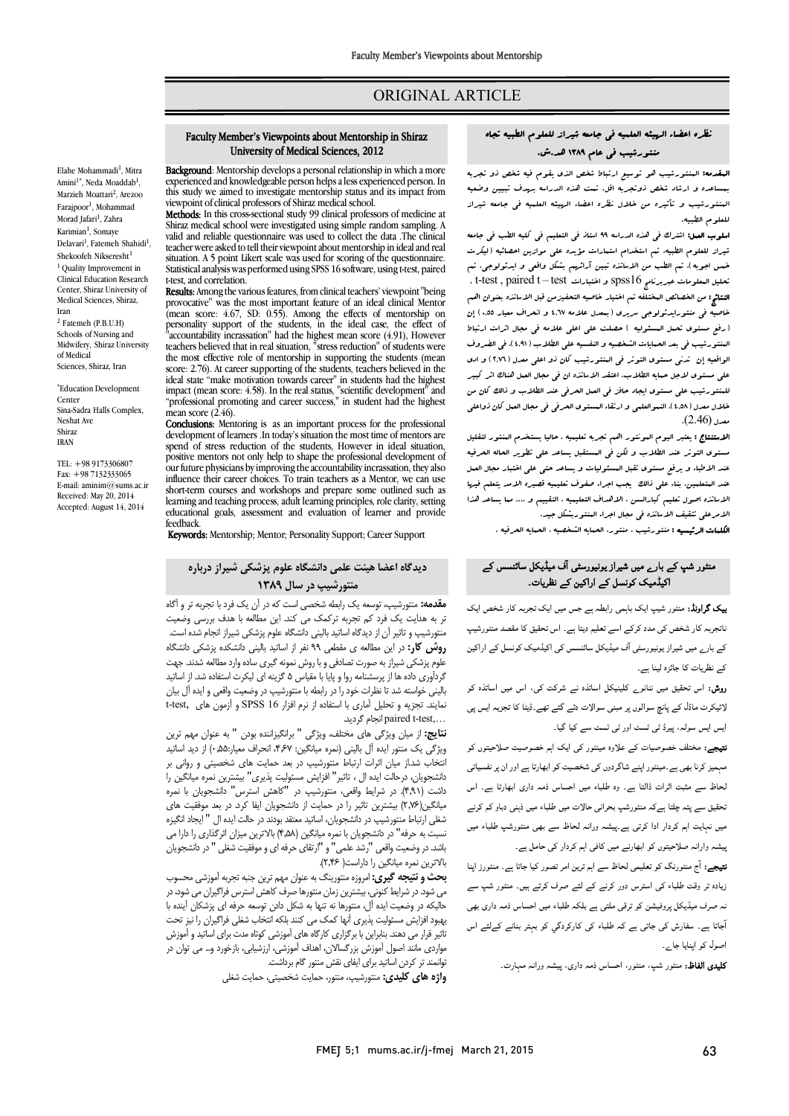## ORIGINAL ARTICLE

# نظره اعضاء الهیئه العلمیه فی جامعه شیراز للعلوم الطبیه تجاه منتورشیب فی عام 1389 هد.ش.

Ī  $\overline{a}$ 

ا**لبقدمه:** البنتورشیب هو توسیع ارتباط شخص الذي یقوم فیه شخص ذو تجربه<br>المقدمه: الداشته شفع فیل تصویر اقتصادی الفاظ الفاظ با تقویم فیه شده است. المنتورشیب و تأثیره من خلال نظره اعضاء الهیئه العلمیه فی جامعه شیراز بمساعده و ارشاد شخص ذوتجربه اقل. تمت هذه الدراسه بهدف تبیین وضعیه للعلوم الطبیه.

 اسلوب العمل: اشترك فی هذه الدراسه 99 استاذ فی التعلیم فی کلیه الطب فی جامعه میراز للعلوم الطبیه. تم استخدام استارات مویده علی موازین اهتفایه ا لیکرب<br>ضمن اجوبه ). تم الطب من الاساتذه تبین آرائهم بشکل واقعی و ایدئولوجی. تم . t-test , paired t – test اختبارات و spss16 عبربرنامج المعلومات تحلیل النتائج: من الخصائص المختلفه تم اختیار خاصیه التحفیزمن قبل الاساتذه بعنوان اهم خاصیه فی منتورایدئولوجی سریري (بمعدل علامه 4,67 و انحراف معیار 0,55) إن (رفع مستوي تحمل المسئولیه ) حصلت علی اعلی علامه فی مجال اثرات ارتباط الواقعیه إن تدنی مستوي التوتر فی المنتورشیب کان ذو اعلی معدل (2,76) و ادي علی مستوي لاجل حمایه الطلاب. اعتقد الاساتذه ان فی مجال العمل هناك اثر کبیر للمنتورشیب علی مستوي ایجاد حافز فی العمل الحرفی عند الطلاب و ذالک کان من خلال معدل (4,0۸). النموالعلبی و ارتقاء البستوی الحرفی فی مجال العبل کان ذواعلی<br>ب (ع) 0 شیراز للعلوم الطبیه. تم استخدام استمارات مؤیده علی موازین احصائیه (لیکرت المنتورشیب فی بعد الحمایات الشخصیه و النفسیه علی الطلاب (4,91). فی الضروف معدل (2.46).

 الاستنتاج : یعتبر الیوم المونتور اهم تجربه تعلیمیه . حالیا یستخدم المنتور لتقلیل مستوي التوتر عند الطلاب و لکن فی المستقبل یساعد علی تطویر الحاله الحرفیه عند الاطباء و یرفع مستوي تقبل المسئولیات و یساعد حتی علی اختبار مجال العمل عند المتعلمین. بناء علی ذالک یجب اجراء صفوف تعلیمیه قصیره الامد یتعلم فیها الامریکی الکتوب الکتوبیت الاساسی الاساسی مسیحی استعیدی<br>الامرعلی تثقیف الاساتذه فی مجال اجراء المنتوربشکل جید. الاساتذه اصول تعلیم کبارالسن ، الاهداف التعلیمیه ، التقییم و .... مما یساعد هذا

الکلمات الرئیسیه : منتورشیب ، منتور، الحمایه الشخصیه ، الحمایه الحرفیه .

## منٹور شپ کے بارے میں شیراز یونیورسٹی آف میڈیکل سائنسس کے اکیڈمیک کرنسل کے اراکین کے نظریات۔

**یک گراونڈ:** منٹور شیپ ایک باہمی رابطہ ہے جس میں ایک تجربہ کار شخص ایک ۔<br>ناتجربہ کار شخص کی مدد کرکے اسے تعلیم دیتا ہے۔ اس تحقیق کا مقصد منٹورشیپ کے بارے میں شیراز یونیورسٹی آف میڈیکل سائنسس کی اکیڈمیک کونسل کے اراکین کے نظریات کا جائزہ لینا ہے۔

ر**وش:** اس تحقیق میں ننانو<sub>ے</sub> کلینیکل اساتذہ نے شرکت کی، اس میں اساتذہ کو لائیکرٹ ماڈل کے پانچ سوالوں پر مبنی سوالات دئے گئے تھے۔ڈیٹا کا تجزیہ ایس پی .<br>ایس ایس سولہ، پیرڈ ٹی ٹسٹ اور ٹی ٹسٹ سے کیا گیا۔

۔<br>**تیجے:** مختلف خصوصیات کے علاوہ مینٹور کی ایک اہم خصوصیت صلاحیتوں کو ۔ر ا دوں ار اور ان ، اس ذ داری اس ذ دوری اس ذ داری اس فرمانی اس فرمانی اس ذ داری اس ذ داری اس ذ داری اس ذ داری اس ذ داری اس<br>لحاظ سے مثبت اثرات ڈالتا ہے۔ وہ طلباء میں احساس ذمہ داری ابھارتا ہے۔ اس ے میں ہے کہ اس کے معاملے کے معاملے کر اس کے معاملے کر دی۔<br>نحقیق سے پتہ چلتا ہےکہ منفورشپ بحرانی حالات میں طلباء میں ذہنی دباو کم کرنے ۔ ے سے سی سے جانوں کے سی سی سے سی سے سی سی سی سی سی سے سی سے سی سے سی سے سی سے سی سے سی سے سی سے سی سے سی سے س<br>میں نہایت اہم کردار ادا کرتی ہے۔پیشہ ورانہ لحاظ سے بھی منٹورشپ طلباء میں Ĩ. ییشہ وارانہ صلاحیتوں کو ابھارنے میں کافی اہم کردار کی حامل ہے۔<br>\*

٦ زیادہ تر وقت طلباء کی اسٹرس دور کرنے کے لئے صرف کرتے ہیں۔ منٹور شپ سے<br>۔ نہ صرف میڈیکل پروفیشن کو ترقی ملتی ہے بلکہ طلباء میں احساس ذمہ داری بھی<br>۔ <sup>ن</sup>جاتا ہے۔ سفارش کی جاتی ہے کہ طلباء کی کارکردگي کو بہتر بنانے کےلئے اس<br>۔ **نتیجے:** آج منٹورنگ کو تعلیمی لحاظ سے اہم ترین امر تصور کیا جاتا ہے۔ منٹورز اینا اصول کو اپنایا جا پر۔

**کلیدی الفاظ:** منٹور شپ، منٹور، احساس ذمہ داری، پیشہ ورانہ مہارت۔

#### Faculty Member's Viewpoints about Mentorship in Shiraz University of Medical Sciences, 2012

Ī  $\overline{a}$ 

Background: Mentorship develops a personal relationship in which a more **Background**: Mentorship develops a personal relationship in which a more<br>experienced and knowledgeable person helps a less experienced person. In viewpoint of clinical professors of Shiraz medical school. this study we aimed to investigate mentorship status and its impact from

**Methods:** In this cross-sectional study 99 clinical protessors of medicine at<br>Shiraz medical school were investigated using simple random sampling. A valid and reliable questionnaire was used to collect the data .The clinical situation. A 5 point Likert scale was used for scoring of the questionnaire. Statistical analysis was performed using SPSS 16 software, using t-test, paired Methods: In this cross-sectional study 99 clinical professors of medicine at teacher were asked to tell their viewpoint about mentorship in ideal and real t-test, and correlation.

**Results:** Among the various features, from clinical teachers' viewpoint "being<br>provocative", was the most important feature of an ideal clinical Mentor (mean score: 4.67, SD: 0.55). Among the effects of mentorship on "accountability incrassation" had the highest mean score (4.91), However the most effective role of mentorship in supporting the students (mean score: 2.76). At career supporting of the students, teachers believed in the<br>ideal state "make motivation towards career" in students had the bighest impact (mean score: 4.58). In the real status, "scientific development" and provocative" was the most important feature of an ideal clinical Mentor personality support of the students, in the ideal case, the effect of teachers believed that in real situation, "stress reduction" of students were ideal state "make motivation towards career" in students had the highest "professional promoting and career success," in student had the highest mean score  $(2.46)$ .

**CONCUSIONS:** Mentoring is as an important process for the professional development of learners .In today's situation the most time of mentors are spend of stress reduction of the students, However in ideal situation,<br>positive mentors not only help to shape the professional development of our future physicians by improving the accountability incrassation, they also short-term courses and workshops and prepare some outlined such as educational goals, assessment and evaluation of learner and provide Conclusions: Mentoring is as an important process for the professional spend of stress reduction of the students. However in ideal situation influence their career choices. To train teachers as a Mentor, we can use learning and teaching process, adult learning principles, role clarity, setting feedback.

eedback.<br>**Keywords:** Mentorship; Mentor; Personality Support; Career Support

## دیدگاه اعضا هیئت علمی دانشگاه علوم پزشکی شیراز درباره منتورشیپ در سال 1389

 مقدمه: منتورشیپ، توسعه یک رابطه شخصی است که در آن یک فرد با تجربه تر و آگاه تر به هدایت یک فرد کم تجربه ترکمک می کند. این مطالعه با هدف بررسی وضعیت ر ته در در این مطالعه ی مقطعی ۹۹ نفر از اساتید بالینی دانشکده پزشکی دانشگاه<br>**روش کار:** در این مطالعه ی مقطعی ۹۹ نفر از اساتید بالینی دانشکده پزشکی دانشگاه علوم پزشکی شیراز به صورت تصادفی و با روش نمونه گیري ساده وارد مطالعه شدند. جهت گردآوري داده ها از پرسشنامه روا و پایا با مقیاس ۵ گزینه اي لیکرت استفاده شد. از اساتید<br>الیک نیایس همیتا بنایات نیمی ایران اساس سیمت نمای در تجزیه و تحلیل آماری با استفاده از نرم افزار SPSS 16 و آزمون های ,t-test, د .گردید انجام paired t-test,… منتورشیپ و تاثیر آن از دیدگاه اساتید بالینی دانشگاه علوم پزشکی شیراز انجام شده است. بالینی خواسته شد تا نظرات خود را در رابطه با منتورشیپ در وضعیت واقعی و ایده آل بیان

 نتایج: از میان ویژگی هاي مختلف، ویژگی " برانگیزاننده بودن " به عنوان مهم ترین انتخاب شد.از میان اثرات ارتباط منتورشیپ در بعد حمایت هاي شخصیتی و روانی بر دانشجویان، درحالت ایده ال ، تاثیر" افزایش مسئولیت پذیري" بیشترین نمره میانگین را داست (۱٫۰۱۱) در سرایط واقعی، مسورسیپ در ۲۵هس استرس ۳داستجویان با نمره<br>میانگین(۲٫۷۶) بیشترین تاثیر را در حمایت از دانشجویان ایفا کرد. در بعد موفقیت های شغلی ارتباط منتورشیپ در دانشجویان، اساتید معتقد بودند در حالت ایده ال " ایجاد انگیزه نسبت به حرفه" در دانشجویان با نمره میانگین (4,58) بالاترین میزان اثرگذاري را دارا می باسد. در وصعیت واقعی رسد علمی و ار<br>بالاترین نمره میانگین را داراست( ۲٬۴۶). ویژگی یک منتور ایده آل بالینی (نمره میانگین: ،4,67 انحراف معیار0,55:) از دید اساتید داشت (4,91). در شرایط واقعی، منتورشیپ در "کاهش استرس" دانشجویان با نمره باشد. در وضعیت واقعی "رشد علمی" و "ارتقاي حرفه اي و موفقیت شغلی " در دانشجویان

**بحث و نتیجه گیری:** امروزه منتورینگ به عنوان مهم ترین جنبه تجربه آموزشی محسوب می شود. در شرایط کنونی، بیشترین زمان منتورها صرف کاهش استرس فراگیران می شود، در حابیده در وصعیت ایده آن، مسورها به نبها به سخن دانن نوسعه خرفه ای پرسخان اینده با<br>پهبود افزایش مسئولیت پذیری آنها کمک می کنند بلکه انتخاب شغلی فراگیران را نیز تحت تاثیر قرار می دهند. بنابراین با برگزاري کارگاه هاي آموزشی کوتاه مدت براي اساتید و آموزش مواردي مانند اصول آموزش بزرگسالان، اهداف آموزشی، ارزشیابی، بازخورد و... می توان در حالیکه در وضعیت ایده آل، منتورها نه تنها به شکل دادن توسعه حرفه اي پزشکان آینده با توانمند تر کردن اساتید براي ایفاي نقش منتور گام برداشت.

<sub>توا</sub>ست *را در ان استید بزری ایندی عنس منتور حم برد*است.<br>**واژه های کلیدی:** منتورشیپ، منتور، حمایت شخصیتی، حمایت شغلی

Elahe Mohammadi<sup>1</sup>, Mitra Amini<sup>1\*</sup>, Neda Moaddab<sup>1</sup>, Marzieh Moattari<sup>2</sup>, Arezoo Farajpoor<sup>1</sup>, Mohammad Morad Jafari<sup>1</sup>, Zahra Karimian<sup>1</sup>, Somaye Delavari<sup>1</sup>, Fatemeh Shahidi<sup>1</sup>, Shekoofeh Nikseresht $1$ <sup>1</sup> Quality Improvement in Clinical Education Research Center, Shiraz University of Medical Sciences, Shiraz, Iran <sup>2</sup> Fatemeh (P.B.U.H) Schools of Nursing and Midwifery, Shiraz University of Medical Sciences, Shiraz, Iran

\* Education Development Center Sina-Sadra Halls Complex, Neshat Ave Shiraz IRAN

TEL: +98 9173306807 Fax: +98 7132333065 E-mail: aminim $@$ sums ac.ir Received: May 20, 2014 Accepted: August 14, 2014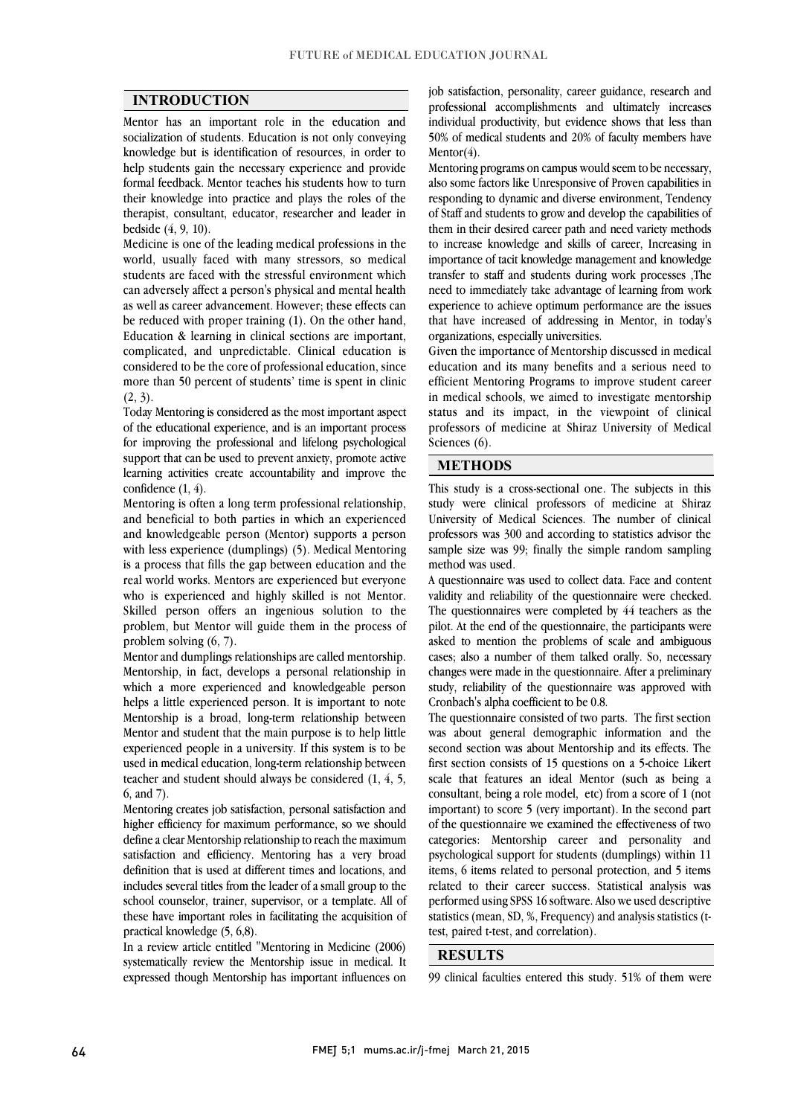$\overline{a}$  $\overline{a}$ 

### INTRODUCTION

 Mentor has an important role in the education and socialization of students. Education is not only conveying help students gain the necessary experience and provide formal feedback. Mentor teaches his students how to turn their knowledge into practice and plays the roles of the therapist, consultant, educator, researcher and leader in knowledge but is identification of resources, in order to bedside (4, 9, 10).

Medicine is one of the leading medical professions in the world, usually faced with many stressors, so medical students are faced with the stressful environment which can adversely allect a person's physical and mental neafth<br>as well as career advancement. However; these effects can be reduced with proper training (1). On the other hand, Education & learning in clinical sections are important, complicated, and unpredictable. Clinical education is considered to be the core of professional education, since<br>many than 50 nonsent of the last; time is exact in alight more than 50 percent of students' time is spent in clinic  $(2, 3)$ . can adversely affect a person's physical and mental health  $(2, 3)$ .

 Today Mentoring is considered as the most important aspect of the educational experience, and is an important process for improving the professional and melong psychological<br>support that can be used to prevent anxiety, promote active learning activities create accountability and improve the for improving the professional and lifelong psychological confidence (1, 4).

 Mentoring is often a long term professional relationship, and knowledgeable person (Mentor) supports a person with less experience (dumplings) (5). Medical Mentoring is a process that fills the gap between education and the real world works. Mentors are experienced but everyone Skilled person offers an ingenious solution to the problem, but Mentor will guide them in the process of and beneficial to both parties in which an experienced who is experienced and highly skilled is not Mentor. problem solving (6, 7).

Mentor and dumplings relationships are called mentorship. which a more experienced and knowledgeable person helps a little experienced person. It is important to note Mentorship is a broad, long-term relationship between mentor and student that the main purpose is to neip ntite<br>experienced people in a university. If this system is to be used in medical education, long-term relationship between teacher and student should always be considered (1, 4, 5, Mentorship, in fact, develops a personal relationship in Mentor and student that the main purpose is to help little 6, and 7).

 Mentoring creates job satisfaction, personal satisfaction and define a clear Mentorship relationship to reach the maximum satisfaction and efficiency. Mentoring has a very broad definition that is used at different times and locations, and school counselor, trainer, supervisor, or a template. All of these have important roles in facilitating the acquisition of higher efficiency for maximum performance, so we should includes several titles from the leader of a small group to the practical knowledge (5, 6,8).

 In a review article entitled "Mentoring in Medicine (2006) expressed though Mentorship has important influences on systematically review the Mentorship issue in medical. It

 professional accomplishments and ultimately increases individual productivity, but evidence shows that less than 50% of medical students and 20% of faculty members have job satisfaction, personality, career guidance, research and Mentor(4).

 Mentoring programs on campus would seem to be necessary, also some factors like Unresponsive of Proven capabilities in responding to dynamic and diverse environment, Tendency of Staff and students to grow and develop the capabilities of to increase knowledge and skills of career, Increasing in importance of tacit knowledge management and knowledge transfer to staff and students during work processes ,The experience to achieve optimum performance are the issues that have increased of addressing in Mentor, in today's them in their desired career path and need variety methods need to immediately take advantage of learning from work organizations, especially universities.

 Given the importance of Mentorship discussed in medical efficient Mentoring Programs to improve student career in medical schools, we aimed to investigate mentorship status and its impact, in the viewpoint of clinical professors of medicine at Shiraz University of Medical education and its many benefits and a serious need to Sciences (6).

#### METHODS

 This study is a cross-sectional one. The subjects in this study were clinical professors of medicine at Shiraz professors was 300 and according to statistics advisor the sample size was 99; finally the simple random sampling University of Medical Sciences. The number of clinical method was used.

l

A questionnaire was used to collect data, race and content<br>validity and reliability of the questionnaire were checked. The questionnaires were completed by 44 teachers as the pilot. At the end of the questionnaire, the participants were asked to mention the problems of scale and ambiguous cases; also a number of them talked orany. So, hecessary<br>changes were made in the questionnaire. After a preliminary study, reliability of the questionnaire was approved with A questionnaire was used to collect data. Face and content cases; also a number of them talked orally. So, necessary Cronbach's alpha coefficient to be 0.8.

 The questionnaire consisted of two parts. The first section was about general demographic information and the<br>second section was about Mentorship and its effects. The first section consists of 15 questions on a 5-choice Likert scale that features an ideal Mentor (such as being a consultant, being a role model, etc) from a score of 1 (not of the questionnaire we examined the effectiveness of two categories: Mentorship career and personality and psychological support for students (dumplings) within 11 items, 6 items related to personal protection, and 5 items performed using SPSS 16 software. Also we used descriptive statistics (mean, SD, %, Frequency) and analysis statistics (twas about general demographic information and the important) to score 5 (very important). In the second part related to their career success. Statistical analysis was test, paired t-test, and correlation).

#### RESULTS

99 clinical faculties entered this study. 51% of them were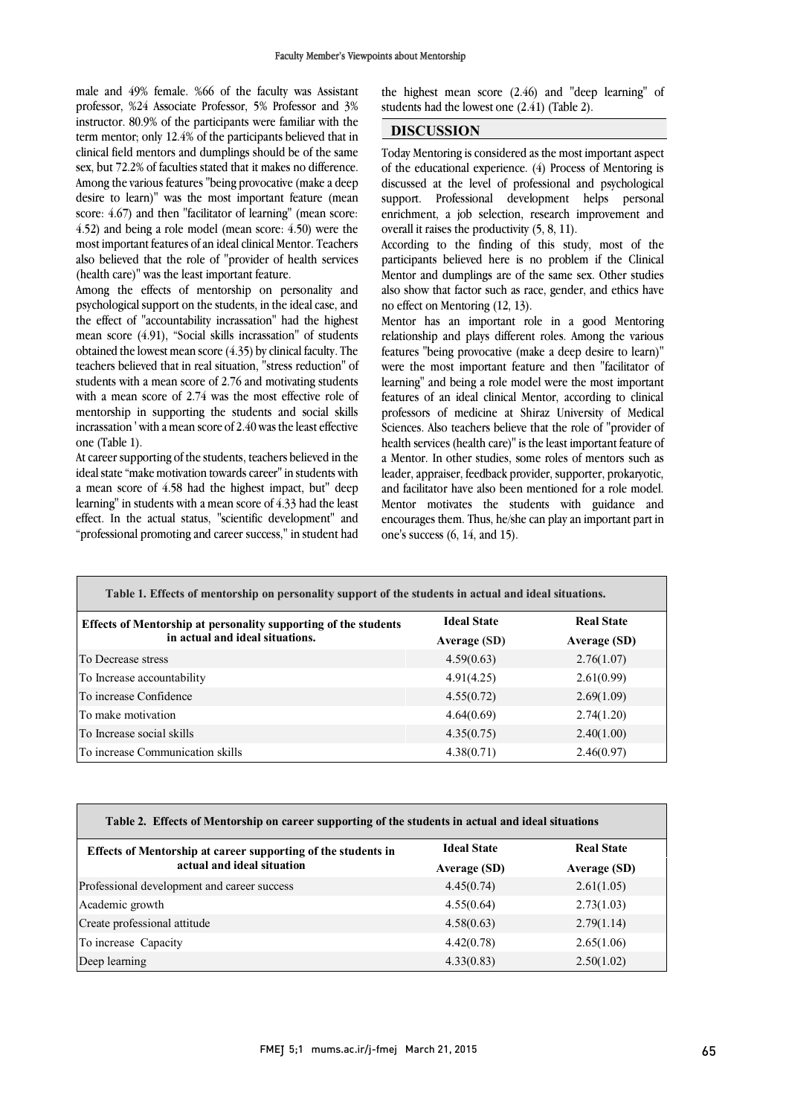male and 49% female. %66 of the faculty was Assistant professor, %24 Associate Professor, 5% Professor and 3% instructor. 80.9% of the participants were familiar with the term mentor; only 12.4% of the participants believed that in sex, but 72.2% of faculties stated that it makes no difference. Among the various features "being provocative (make a deep desire to learn)" was the most important feature (mean score: 4.0/) and then facultator of learning (mean score: 4.50) and being a role model (mean score: 4.50) were the most important features of an ideal clinical Mentor. Teachers also believed that the role of "provider of health services clinical field mentors and dumplings should be of the same score: 4.67) and then "facilitator of learning" (mean score: (health care)" was the least important feature.

Among the effects of memorship on personality and<br>psychological support on the students, in the ideal case, and the effect of "accountability incrassation" had the highest mean score (4.91), "Social skills incrassation" of students obtained the lowest mean score (4.35) by clinical faculty. The students with a mean score of 2.76 and motivating students with a mean score of  $2.74$  was the most effective role of mentorship in supporting the students and social skills incrassation ' with a mean score of 2.40 was the least effective Among the effects of mentorship on personality and teachers believed that in real situation, "stress reduction" of one (Table 1).

 At career supporting of the students, teachers believed in the ideal state "make motivation towards career" in students with a mean score of 4.58 had the highest impact, but" deep learning" in students with a mean score of 4.33 had the least "professional promoting and career success," in student had effect. In the actual status, "scientific development" and

 $\overline{a}$ the highest mean score  $(2.46)$  and "deep learning" of students had the lowest one  $(2.41)$  (Table 2). students had the lowest one (2.41) (Table 2).

### DISCUSSION

 $\overline{a}$  of the educational experience. (4) Process of Mentoring is support. Professional development helps personal enrichment, a job selection, research improvement and Today Mentoring is considered as the most important aspect discussed at the level of professional and psychological overall it raises the productivity (5, 8, 11).

According to the finding of this study, most of the participants believed here is no problem if the Clinical Mentor and dumplings are of the same sex. Other studies also show that factor such as race, gender, and ethics have no effect on Mentoring (12, 13).

 Mentor has an important role in a good Mentoring relationship and plays different roles. Among the various features "being provocative (make a deep desire to learn)" learning" and being a role model were the most important features of an ideal clinical Mentor, according to clinical professors of medicine at Shiraz University of Medical Sciences. Also teachers believe that the role of "provider of a Mentor. In other studies, some roles of mentors such as leader, appraiser, feedback provider, supporter, prokaryotic, and facilitator have also been mentioned for a role model. Mentor motivates the students with guidance and encourages them. Thus, he/she can play an important part in<br>one's success  $(6, 14, 20d, 15)$ were the most important feature and then "facilitator of health services (health care)" is the least important feature of one's success (6, 14, and 15).

| Table 1. Effects of mentorship on personality support of the students in actual and ideal situations. |                    |                   |
|-------------------------------------------------------------------------------------------------------|--------------------|-------------------|
| Effects of Mentorship at personality supporting of the students<br>in actual and ideal situations.    | <b>Ideal State</b> | <b>Real State</b> |
|                                                                                                       | Average (SD)       | Average (SD)      |
| To Decrease stress                                                                                    | 4.59(0.63)         | 2.76(1.07)        |
| To Increase accountability                                                                            | 4.91(4.25)         | 2.61(0.99)        |
| To increase Confidence                                                                                | 4.55(0.72)         | 2.69(1.09)        |
| To make motivation                                                                                    | 4.64(0.69)         | 2.74(1.20)        |
| To Increase social skills                                                                             | 4.35(0.75)         | 2.40(1.00)        |
| To increase Communication skills                                                                      | 4.38(0.71)         | 2.46(0.97)        |

| Table 2. Effects of Mentorship on career supporting of the students in actual and ideal situations |                   |  |
|----------------------------------------------------------------------------------------------------|-------------------|--|
| <b>Ideal State</b>                                                                                 | <b>Real State</b> |  |
| Average (SD)                                                                                       | Average (SD)      |  |
| 4.45(0.74)                                                                                         | 2.61(1.05)        |  |
| 4.55(0.64)                                                                                         | 2.73(1.03)        |  |
| 4.58(0.63)                                                                                         | 2.79(1.14)        |  |
| 4.42(0.78)                                                                                         | 2.65(1.06)        |  |
| 4.33(0.83)                                                                                         | 2.50(1.02)        |  |
|                                                                                                    |                   |  |

 $\overline{a}$ 

 $\overline{\phantom{0}}$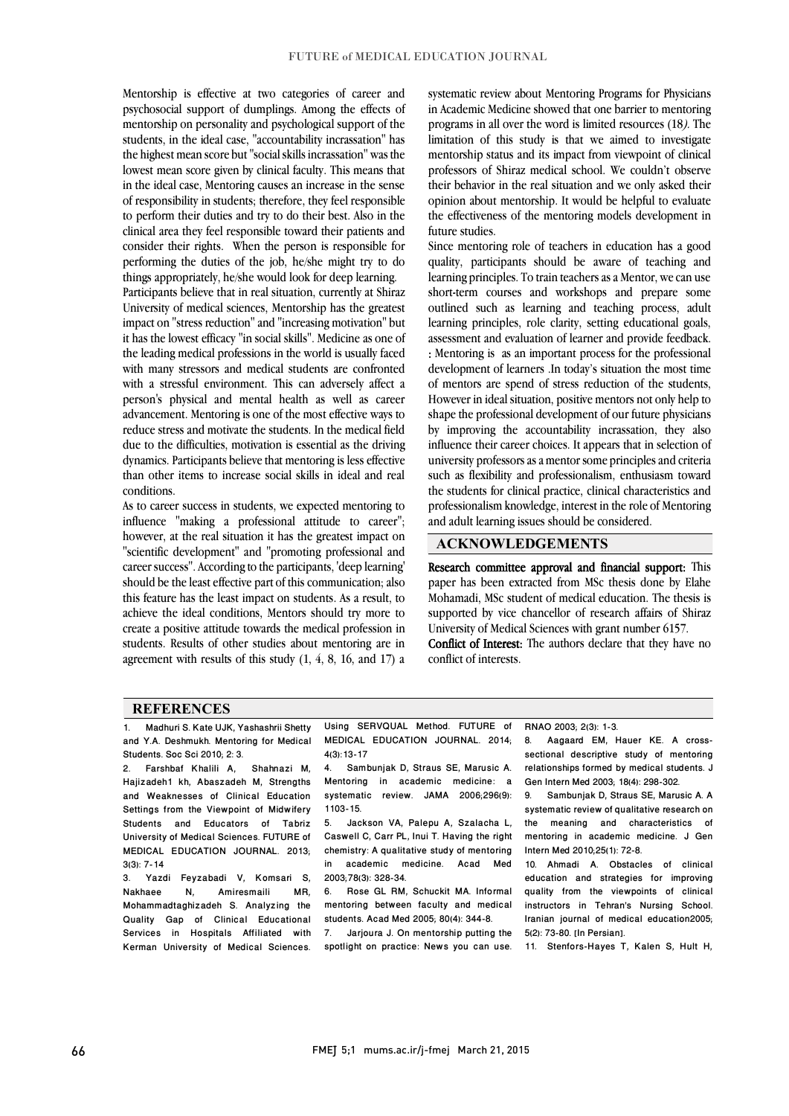Mentorship is effective at two categories of career and psychosocial support of dumplings. Among the effects of mentorship on personality and psychological support of the students, in the ideal case, "accountability incrassation" has the highest mean score but "social skills incrassation" was the in the ideal case, Mentoring causes an increase in the sense of responsibility in students; therefore, they feel responsible to perform their duties and try to do their best. Also in the cunical area they leef responsible toward their patients and<br>consider their rights. When the person is responsible for performing the duties of the job, he/she might try to do lowest mean score given by clinical faculty. This means that clinical area they feel responsible toward their patients and things appropriately, he/she would look for deep learning.

Participants believe that in real situation, currently at Shiraz impact on "stress reduction" and "increasing motivation" but it has the lowest efficacy "in social skills". Medicine as one of the leading medical professions in the world is usually faced with many stressors and medical students are confronted person's physical and mental health as well as career advancement. Mentoring is one of the most effective ways to reduce stress and motivate the students. In the medical field due to the difficulties, motivation is essential as the driving than other items to increase social skills in ideal and real University of medical sciences, Mentorship has the greatest with a stressful environment. This can adversely affect a dynamics. Participants believe that mentoring is less effective conditions.

 As to career success in students, we expected mentoring to influence "making a professional attitude to career"; "scientific development" and "promoting professional and career success". According to the participants, 'deep learning' should be the least effective part of this communication; also this feature has the least impact on students. As a result, to religious the ideal conditions. Monten chould the more to create a positive attitude towards the medical profession in students. Results of other studies about mentoring are in agreement with results of this study (1, 4, 8, 16, and 17) a however, at the real situation it has the greatest impact on achieve the ideal conditions, Mentors should try more to

 systematic review about Mentoring Programs for Physicians in Academic Medicine showed that one barrier to mentoring programs in all over the word is limited resources (18). The limitation of this study is that we aimed to investigate mentorship status and its impact from viewpoint of clinical<br>analyzes of Shines and ital school. We see this charge their behavior in the real situation and we only asked their opinion about mentorship. It would be helpful to evaluate the effectiveness of the mentoring models development in professors of Shiraz medical school. We couldn't observe future studies.

 Since mentoring role of teachers in education has a good quality, participants should be aware of teaching and learning principles. To train teachers as a Mentor, we can use short-term courses and workshops and prepare some learning principles, role clarity, setting educational goals, assessment and evaluation of learner and provide feedback. : Mentoring is as an important process for the professional development of learners .In today's situation the most time However in ideal situation, positive mentors not only help to shape the professional development of our future physicians by improving the accountability incrassation, they also influence their career choices. It appears that in selection of such as flexibility and professionalism, enthusiasm toward the students for clinical practice, clinical characteristics and professionalism knowledge, interest in the role of Mentoring  $\overline{a}$ outlined such as learning and teaching process, adult of mentors are spend of stress reduction of the students, university professors as a mentor some principles and criteria and adult learning issues should be considered.

#### ACKNOWLEDGEMENTS

Research committee approval and financial support: This paper has been extracted from MSc thesis done by Elahe !:<br>. supported by vice chancellor of research affairs of Shiraz<br>University of Medical Sciences with grant number 6157. Mohamadi, MSc student of medical education. The thesis is University of Medical Sciences with grant number 6157.

Conflict of Interest: The authors declare that they have no conflict of interests.

#### **REFERENCES**

1. Madhuri S. Kate UJK, Yashashrii Shetty and Y.A. Deshmukh. Mentoring for Medical Students. Soc Sci 2010; 2: 3.

2. Farshbaf Khalili A, Shahnazi M, Haiizadeh1 kh, Abaszadeh M, Strengths and Weaknesses of Clinical Education Settings from the Viewpoint of Midwifery Students and Educators of Tabriz University of Medical Sciences. FUTURE of MEDICAL EDUCATION JOURNAL. 2013;  $3(3): 7-14$ <br>3. Yazı

.<br>3. Yazdi Feyzabadi V, Komsari S,<br>19. Amiresmaili MR, Nakhaee N, Amiresmaili MR, Mohammadtaghizadeh S. Analyzing the Quality Gap of Clinical Educational Services in Hospitals Affiliated with Kerman University of Medical Sciences.

 Using SERVQUAL Method. FUTURE of MEDICAL EDUCATION JOURNAL. 2014; 4(3):13-17

j  $\overline{a}$ 

 $\overline{a}$ 

4(3):13-17<br>4. Sambunjak D, Straus SE, Marusic A. Mentoring in academic medicine: a systematic review. JAMA 2006;296(9): 1103-15.

 5. Jackson VA, Palepu A, Szalacha L, Caswell C, Carr PL, Inui T. Having the right chemistry: A qualitative study of mentoring 2003;78(3): 328-34. in academic medicine. Acad Med

 6. Rose GL RM, Schuckit MA. Informal students. Acad Med 2005; 80(4): 344-8. mentoring between faculty and medical

 7. Jarjoura J. On mentorship putting the spotlight on practice: News you can use. RNAO 2003; 2(3): 1-3.

 8. Aagaard EM, Hauer KE. A cross- sectional descriptive study of mentoring relationships formed by medical students. J Gen Intern Med 2003; 18(4): 298-302.

 $\overline{a}$ 

I 

 9. Sambunjak D, Straus SE, Marusic A. A systematic review or quantative research on<br>the meaning and characteristics of mentoring in academic medicine. J Gen systematic review of qualitative research on Intern Med 2010;25(1): 72-8.

Intern Med 2010;25(1): 72-8.<br>10. Ahmadi A. Obstacles of clinical education and strategies for improving quality from the viewpoints of clinical Iranian journal of medical education2005; instructors in Tehran's Nursing School. 5(2): 73-80. [In Persian].

11. Stenfors-Hayes T, Kalen S, Hult H,